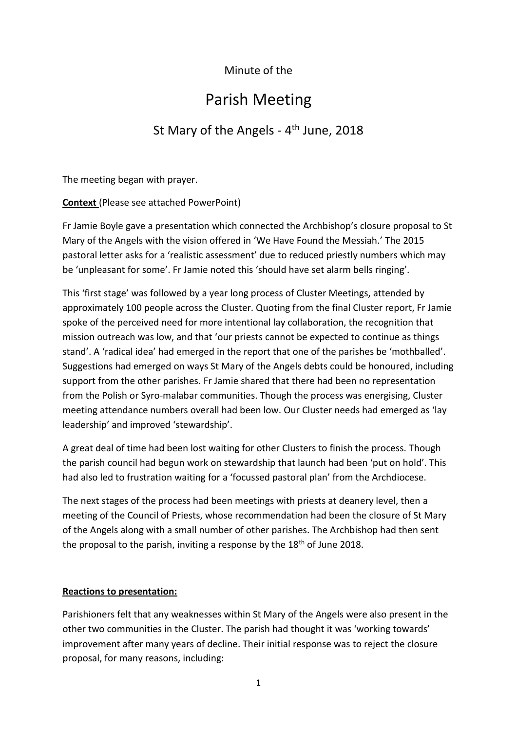# Minute of the

# Parish Meeting

# St Mary of the Angels - 4<sup>th</sup> June, 2018

The meeting began with prayer.

**Context** (Please see attached PowerPoint)

Fr Jamie Boyle gave a presentation which connected the Archbishop's closure proposal to St Mary of the Angels with the vision offered in 'We Have Found the Messiah.' The 2015 pastoral letter asks for a 'realistic assessment' due to reduced priestly numbers which may be 'unpleasant for some'. Fr Jamie noted this 'should have set alarm bells ringing'.

This 'first stage' was followed by a year long process of Cluster Meetings, attended by approximately 100 people across the Cluster. Quoting from the final Cluster report, Fr Jamie spoke of the perceived need for more intentional lay collaboration, the recognition that mission outreach was low, and that 'our priests cannot be expected to continue as things stand'. A 'radical idea' had emerged in the report that one of the parishes be 'mothballed'. Suggestions had emerged on ways St Mary of the Angels debts could be honoured, including support from the other parishes. Fr Jamie shared that there had been no representation from the Polish or Syro-malabar communities. Though the process was energising, Cluster meeting attendance numbers overall had been low. Our Cluster needs had emerged as 'lay leadership' and improved 'stewardship'.

A great deal of time had been lost waiting for other Clusters to finish the process. Though the parish council had begun work on stewardship that launch had been 'put on hold'. This had also led to frustration waiting for a 'focussed pastoral plan' from the Archdiocese.

The next stages of the process had been meetings with priests at deanery level, then a meeting of the Council of Priests, whose recommendation had been the closure of St Mary of the Angels along with a small number of other parishes. The Archbishop had then sent the proposal to the parish, inviting a response by the  $18<sup>th</sup>$  of June 2018.

# **Reactions to presentation:**

Parishioners felt that any weaknesses within St Mary of the Angels were also present in the other two communities in the Cluster. The parish had thought it was 'working towards' improvement after many years of decline. Their initial response was to reject the closure proposal, for many reasons, including: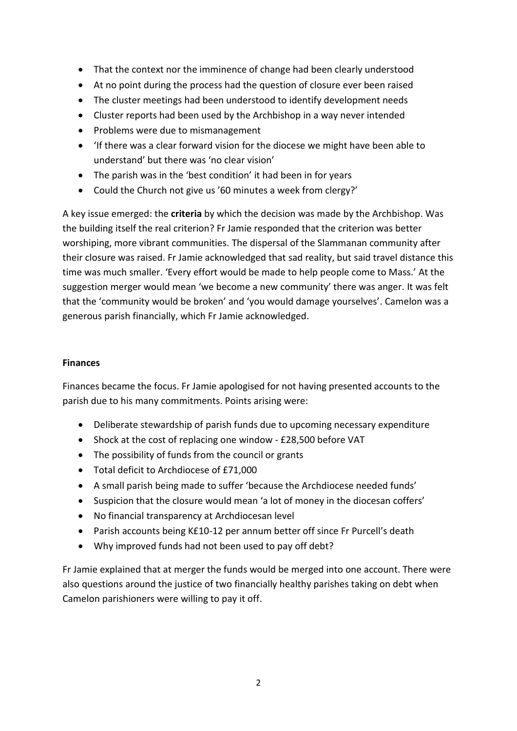- That the context nor the imminence of change had been clearly understood
- At no point during the process had the question of closure ever been raised
- The cluster meetings had been understood to identify development needs
- Cluster reports had been used by the Archbishop in a way never intended
- Problems were due to mismanagement
- 'If there was a clear forward vision for the diocese we might have been able to understand' but there was 'no clear vision'
- The parish was in the 'best condition' it had been in for years
- Could the Church not give us '60 minutes a week from clergy?'

A key issue emerged: the **criteria** by which the decision was made by the Archbishop. Was the building itself the real criterion? Fr Jamie responded that the criterion was better worshiping, more vibrant communities. The dispersal of the Slammanan community after their closure was raised. Fr Jamie acknowledged that sad reality, but said travel distance this time was much smaller. 'Every effort would be made to help people come to Mass.' At the suggestion merger would mean 'we become a new community' there was anger. It was felt that the 'community would be broken' and 'you would damage yourselves'. Camelon was a generous parish financially, which Fr Jamie acknowledged.

# **Finances**

Finances became the focus. Fr Jamie apologised for not having presented accounts to the parish due to his many commitments. Points arising were:

- Deliberate stewardship of parish funds due to upcoming necessary expenditure
- Shock at the cost of replacing one window £28,500 before VAT
- The possibility of funds from the council or grants
- Total deficit to Archdiocese of £71,000
- A small parish being made to suffer 'because the Archdiocese needed funds'
- Suspicion that the closure would mean 'a lot of money in the diocesan coffers'
- No financial transparency at Archdiocesan level
- Parish accounts being K£10-12 per annum better off since Fr Purcell's death
- Why improved funds had not been used to pay off debt?

Fr Jamie explained that at merger the funds would be merged into one account. There were also questions around the justice of two financially healthy parishes taking on debt when Camelon parishioners were willing to pay it off.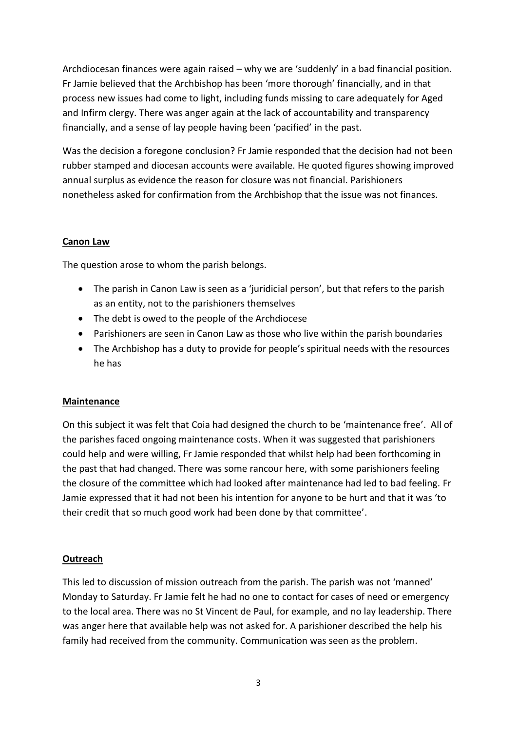Archdiocesan finances were again raised – why we are 'suddenly' in a bad financial position. Fr Jamie believed that the Archbishop has been 'more thorough' financially, and in that process new issues had come to light, including funds missing to care adequately for Aged and Infirm clergy. There was anger again at the lack of accountability and transparency financially, and a sense of lay people having been 'pacified' in the past.

Was the decision a foregone conclusion? Fr Jamie responded that the decision had not been rubber stamped and diocesan accounts were available. He quoted figures showing improved annual surplus as evidence the reason for closure was not financial. Parishioners nonetheless asked for confirmation from the Archbishop that the issue was not finances.

#### **Canon Law**

The question arose to whom the parish belongs.

- The parish in Canon Law is seen as a 'juridicial person', but that refers to the parish as an entity, not to the parishioners themselves
- The debt is owed to the people of the Archdiocese
- Parishioners are seen in Canon Law as those who live within the parish boundaries
- The Archbishop has a duty to provide for people's spiritual needs with the resources he has

## **Maintenance**

On this subject it was felt that Coia had designed the church to be 'maintenance free'. All of the parishes faced ongoing maintenance costs. When it was suggested that parishioners could help and were willing, Fr Jamie responded that whilst help had been forthcoming in the past that had changed. There was some rancour here, with some parishioners feeling the closure of the committee which had looked after maintenance had led to bad feeling. Fr Jamie expressed that it had not been his intention for anyone to be hurt and that it was 'to their credit that so much good work had been done by that committee'.

#### **Outreach**

This led to discussion of mission outreach from the parish. The parish was not 'manned' Monday to Saturday. Fr Jamie felt he had no one to contact for cases of need or emergency to the local area. There was no St Vincent de Paul, for example, and no lay leadership. There was anger here that available help was not asked for. A parishioner described the help his family had received from the community. Communication was seen as the problem.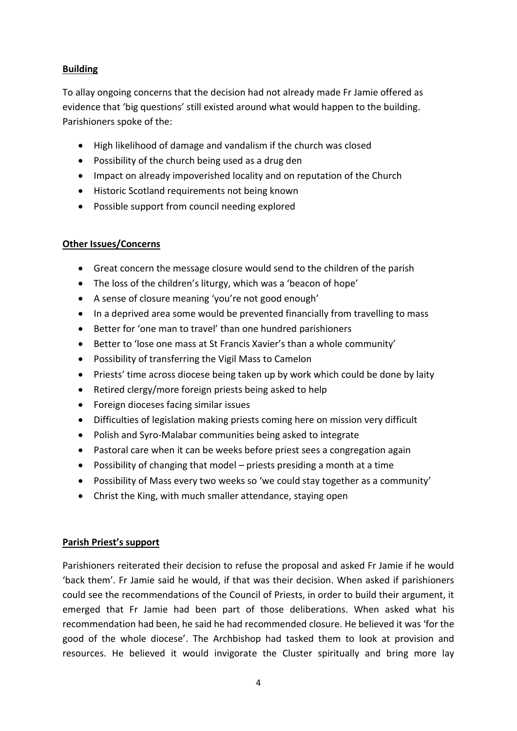# **Building**

To allay ongoing concerns that the decision had not already made Fr Jamie offered as evidence that 'big questions' still existed around what would happen to the building. Parishioners spoke of the:

- High likelihood of damage and vandalism if the church was closed
- Possibility of the church being used as a drug den
- Impact on already impoverished locality and on reputation of the Church
- Historic Scotland requirements not being known
- Possible support from council needing explored

## **Other Issues/Concerns**

- Great concern the message closure would send to the children of the parish
- The loss of the children's liturgy, which was a 'beacon of hope'
- A sense of closure meaning 'you're not good enough'
- In a deprived area some would be prevented financially from travelling to mass
- Better for 'one man to travel' than one hundred parishioners
- Better to 'lose one mass at St Francis Xavier's than a whole community'
- Possibility of transferring the Vigil Mass to Camelon
- Priests' time across diocese being taken up by work which could be done by laity
- Retired clergy/more foreign priests being asked to help
- Foreign dioceses facing similar issues
- Difficulties of legislation making priests coming here on mission very difficult
- Polish and Syro-Malabar communities being asked to integrate
- Pastoral care when it can be weeks before priest sees a congregation again
- Possibility of changing that model priests presiding a month at a time
- Possibility of Mass every two weeks so 'we could stay together as a community'
- Christ the King, with much smaller attendance, staying open

#### **Parish Priest's support**

Parishioners reiterated their decision to refuse the proposal and asked Fr Jamie if he would 'back them'. Fr Jamie said he would, if that was their decision. When asked if parishioners could see the recommendations of the Council of Priests, in order to build their argument, it emerged that Fr Jamie had been part of those deliberations. When asked what his recommendation had been, he said he had recommended closure. He believed it was 'for the good of the whole diocese'. The Archbishop had tasked them to look at provision and resources. He believed it would invigorate the Cluster spiritually and bring more lay